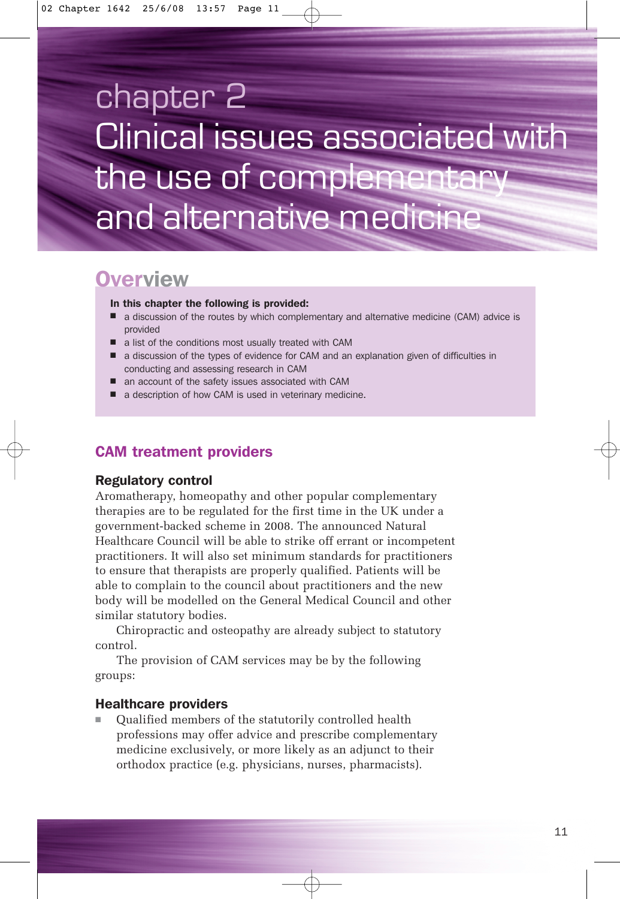02 Chapter 1642 25/6/08 13:57 Page 11

# chapter 2 Clinical issues associated with the use of complement and alternative medicine

# **Overview**

#### In this chapter the following is provided:

- a discussion of the routes by which complementary and alternative medicine (CAM) advice is provided
- a list of the conditions most usually treated with CAM
- a discussion of the types of evidence for CAM and an explanation given of difficulties in conducting and assessing research in CAM
- an account of the safety issues associated with CAM
- a description of how CAM is used in veterinary medicine.

# CAM treatment providers

#### Regulatory control

Aromatherapy, homeopathy and other popular complementary therapies are to be regulated for the first time in the UK under a government-backed scheme in 2008. The announced Natural Healthcare Council will be able to strike off errant or incompetent practitioners. It will also set minimum standards for practitioners to ensure that therapists are properly qualified. Patients will be able to complain to the council about practitioners and the new body will be modelled on the General Medical Council and other similar statutory bodies.

Chiropractic and osteopathy are already subject to statutory control.

The provision of CAM services may be by the following groups:

#### Healthcare providers

Qualified members of the statutorily controlled health professions may offer advice and prescribe complementary medicine exclusively, or more likely as an adjunct to their orthodox practice (e.g. physicians, nurses, pharmacists).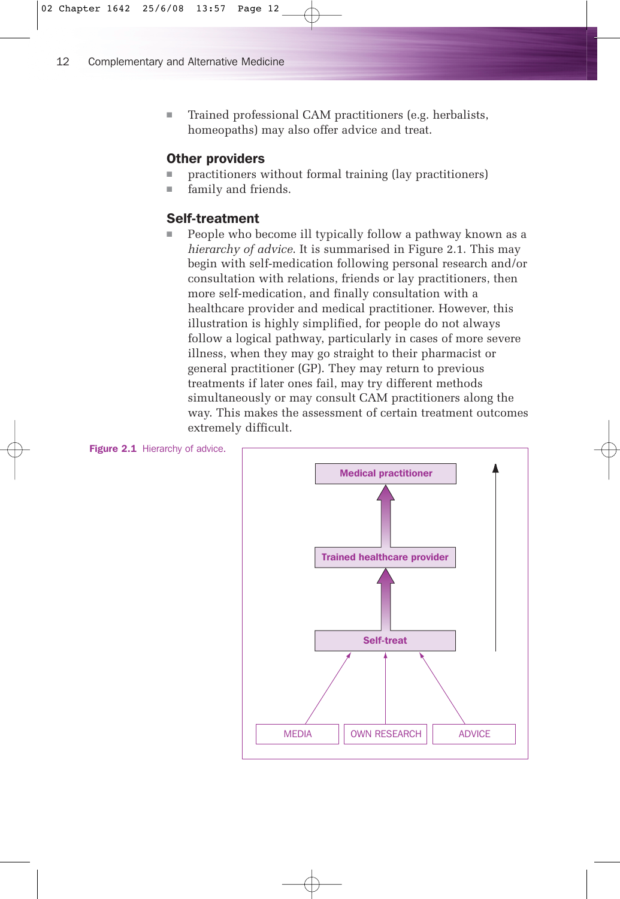■ Trained professional CAM practitioners (e.g. herbalists, homeopaths) may also offer advice and treat.

### Other providers

- practitioners without formal training (lay practitioners)
- family and friends.

# Self-treatment

People who become ill typically follow a pathway known as a *hierarchy of advice*. It is summarised in Figure 2.1. This may begin with self-medication following personal research and/or consultation with relations, friends or lay practitioners, then more self-medication, and finally consultation with a healthcare provider and medical practitioner. However, this illustration is highly simplified, for people do not always follow a logical pathway, particularly in cases of more severe illness, when they may go straight to their pharmacist or general practitioner (GP). They may return to previous treatments if later ones fail, may try different methods simultaneously or may consult CAM practitioners along the way. This makes the assessment of certain treatment outcomes extremely difficult.

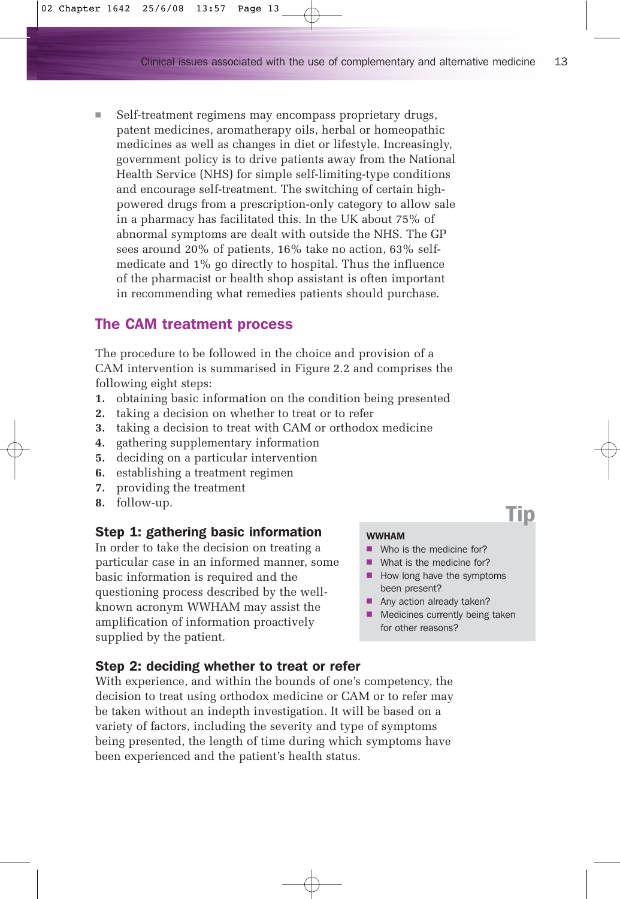■ Self-treatment regimens may encompass proprietary drugs, patent medicines, aromatherapy oils, herbal or homeopathic medicines as well as changes in diet or lifestyle. Increasingly, government policy is to drive patients away from the National Health Service (NHS) for simple self-limiting-type conditions and encourage self-treatment. The switching of certain highpowered drugs from a prescription-only category to allow sale in a pharmacy has facilitated this. In the UK about 75% of abnormal symptoms are dealt with outside the NHS. The GP sees around 20% of patients, 16% take no action, 63% selfmedicate and 1% go directly to hospital. Thus the influence of the pharmacist or health shop assistant is often important in recommending what remedies patients should purchase.

# The CAM treatment process

The procedure to be followed in the choice and provision of a CAM intervention is summarised in Figure 2.2 and comprises the following eight steps:

- **1.** obtaining basic information on the condition being presented
- **2.** taking a decision on whether to treat or to refer
- **3.** taking a decision to treat with CAM or orthodox medicine
- **4.** gathering supplementary information
- **5.** deciding on a particular intervention
- **6.** establishing a treatment regimen
- **7.** providing the treatment
- **8.** follow-up.

# Step 1: gathering basic information

In order to take the decision on treating a particular case in an informed manner, some basic information is required and the questioning process described by the wellknown acronym WWHAM may assist the amplification of information proactively supplied by the patient.

#### WWHAM

- Who is the medicine for?
- What is the medicine for?
- How long have the symptoms been present?
- Any action already taken?
- Medicines currently being taken for other reasons?

Tip

### Step 2: deciding whether to treat or refer

With experience, and within the bounds of one's competency, the decision to treat using orthodox medicine or CAM or to refer may be taken without an indepth investigation. It will be based on a variety of factors, including the severity and type of symptoms being presented, the length of time during which symptoms have been experienced and the patient's health status.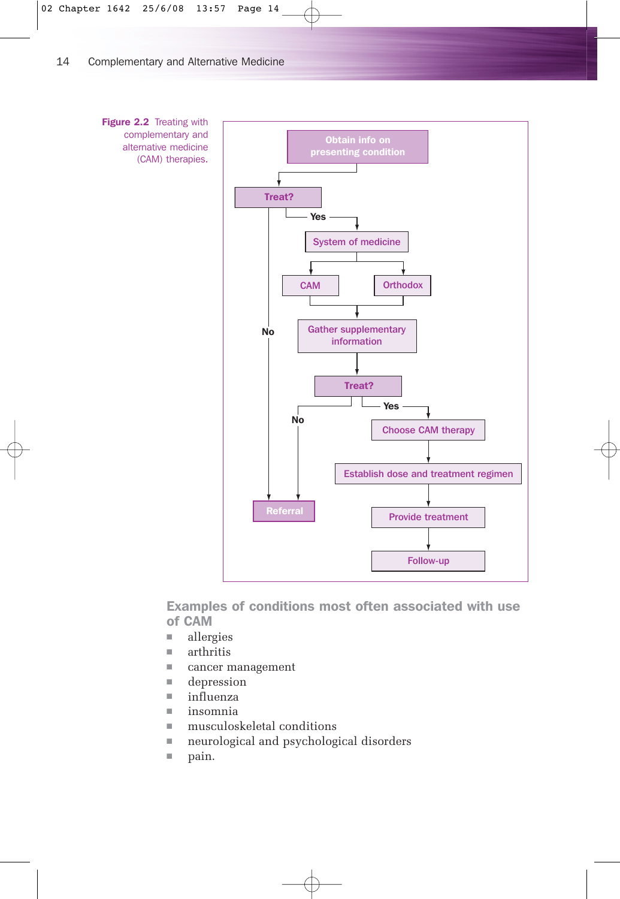Figure 2.2 Treating with complementary and alternative medicine (CAM) therapies.



Examples of conditions most often associated with use of CAM

- allergies
- arthritis
- cancer management
- depression
- influenza
- insomnia
- musculoskeletal conditions
- neurological and psychological disorders
- pain.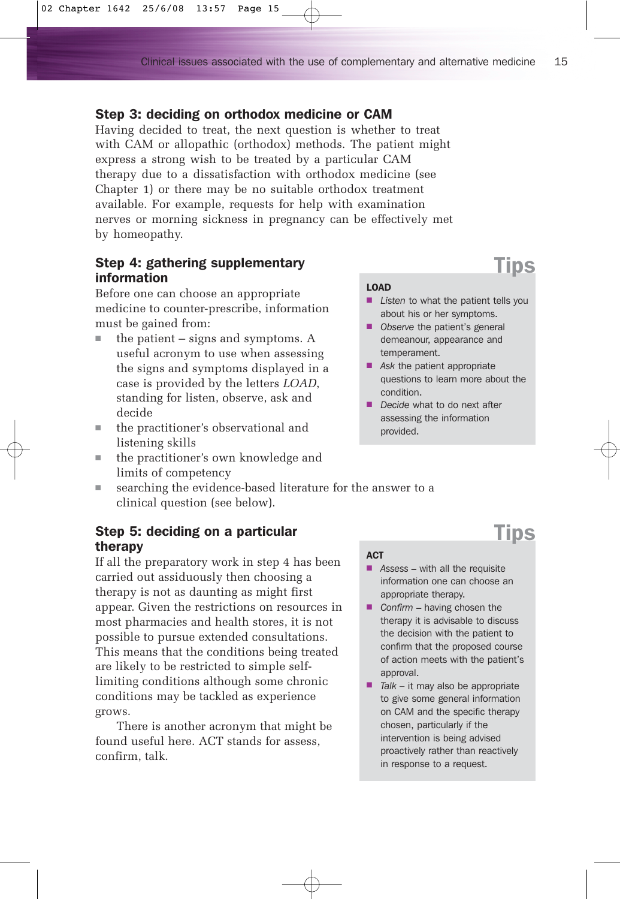

#### Step 3: deciding on orthodox medicine or CAM

Having decided to treat, the next question is whether to treat with CAM or allopathic (orthodox) methods. The patient might express a strong wish to be treated by a particular CAM therapy due to a dissatisfaction with orthodox medicine (see Chapter 1) or there may be no suitable orthodox treatment available. For example, requests for help with examination nerves or morning sickness in pregnancy can be effectively met by homeopathy.

# Step 4: gathering supplementary information

Before one can choose an appropriate medicine to counter-prescribe, information must be gained from:

- the patient  $-$  signs and symptoms. A useful acronym to use when assessing the signs and symptoms displayed in a case is provided by the letters *LOAD*, standing for listen, observe, ask and decide
- the practitioner's observational and listening skills
- the practitioner's own knowledge and limits of competency

#### LOAD

■ *Listen* to what the patient tells you about his or her symptoms.

**Tips** 

**Tips** 

- *Observe* the patient's general demeanour, appearance and temperament.
- Ask the patient appropriate questions to learn more about the condition.
- *Decide* what to do next after assessing the information provided.
- searching the evidence-based literature for the answer to a clinical question (see below).

# Step 5: deciding on a particular therapy

If all the preparatory work in step 4 has been carried out assiduously then choosing a therapy is not as daunting as might first appear. Given the restrictions on resources in most pharmacies and health stores, it is not possible to pursue extended consultations. This means that the conditions being treated are likely to be restricted to simple selflimiting conditions although some chronic conditions may be tackled as experience grows.

There is another acronym that might be found useful here. ACT stands for assess, confirm, talk.

#### **ACT**

- **Assess** with all the requisite information one can choose an appropriate therapy.
- *Confirm* having chosen the therapy it is advisable to discuss the decision with the patient to confirm that the proposed course of action meets with the patient's approval.
- *Talk* it may also be appropriate to give some general information on CAM and the specific therapy chosen, particularly if the intervention is being advised proactively rather than reactively in response to a request.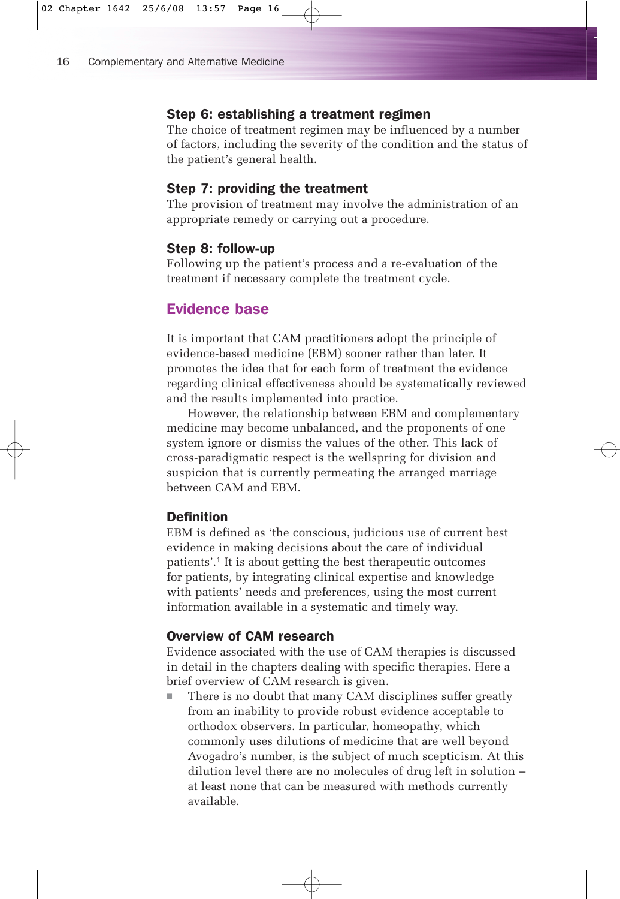# Step 6: establishing a treatment regimen

The choice of treatment regimen may be influenced by a number of factors, including the severity of the condition and the status of the patient's general health.

# Step 7: providing the treatment

The provision of treatment may involve the administration of an appropriate remedy or carrying out a procedure.

# Step 8: follow-up

Following up the patient's process and a re-evaluation of the treatment if necessary complete the treatment cycle.

# Evidence base

It is important that CAM practitioners adopt the principle of evidence-based medicine (EBM) sooner rather than later. It promotes the idea that for each form of treatment the evidence regarding clinical effectiveness should be systematically reviewed and the results implemented into practice.

However, the relationship between EBM and complementary medicine may become unbalanced, and the proponents of one system ignore or dismiss the values of the other. This lack of cross-paradigmatic respect is the wellspring for division and suspicion that is currently permeating the arranged marriage between CAM and EBM.

# Definition

EBM is defined as 'the conscious, judicious use of current best evidence in making decisions about the care of individual patients'.1 It is about getting the best therapeutic outcomes for patients, by integrating clinical expertise and knowledge with patients' needs and preferences, using the most current information available in a systematic and timely way.

# Overview of CAM research

Evidence associated with the use of CAM therapies is discussed in detail in the chapters dealing with specific therapies. Here a brief overview of CAM research is given.

There is no doubt that many CAM disciplines suffer greatly from an inability to provide robust evidence acceptable to orthodox observers. In particular, homeopathy, which commonly uses dilutions of medicine that are well beyond Avogadro's number, is the subject of much scepticism. At this dilution level there are no molecules of drug left in solution – at least none that can be measured with methods currently available.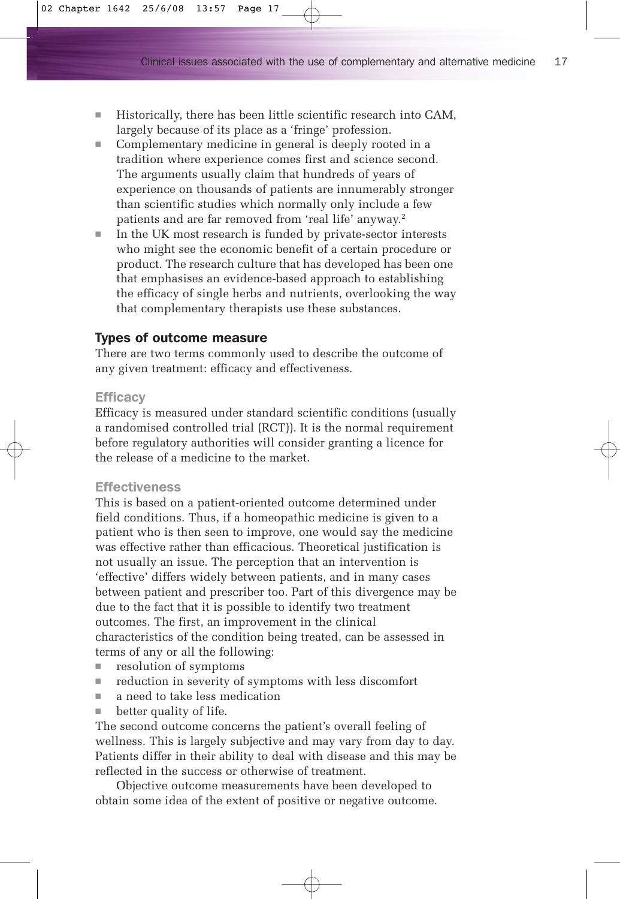- Historically, there has been little scientific research into CAM, largely because of its place as a 'fringe' profession.
- Complementary medicine in general is deeply rooted in a tradition where experience comes first and science second. The arguments usually claim that hundreds of years of experience on thousands of patients are innumerably stronger than scientific studies which normally only include a few patients and are far removed from 'real life' anyway.<sup>2</sup>
- In the UK most research is funded by private-sector interests who might see the economic benefit of a certain procedure or product. The research culture that has developed has been one that emphasises an evidence-based approach to establishing the efficacy of single herbs and nutrients, overlooking the way that complementary therapists use these substances.

# Types of outcome measure

There are two terms commonly used to describe the outcome of any given treatment: efficacy and effectiveness.

# **Efficacy**

Efficacy is measured under standard scientific conditions (usually a randomised controlled trial (RCT)). It is the normal requirement before regulatory authorities will consider granting a licence for the release of a medicine to the market.

# **Effectiveness**

This is based on a patient-oriented outcome determined under field conditions. Thus, if a homeopathic medicine is given to a patient who is then seen to improve, one would say the medicine was effective rather than efficacious. Theoretical justification is not usually an issue. The perception that an intervention is 'effective' differs widely between patients, and in many cases between patient and prescriber too. Part of this divergence may be due to the fact that it is possible to identify two treatment outcomes. The first, an improvement in the clinical characteristics of the condition being treated, can be assessed in terms of any or all the following:

- resolution of symptoms
- reduction in severity of symptoms with less discomfort
- a need to take less medication
- better quality of life.

The second outcome concerns the patient's overall feeling of wellness. This is largely subjective and may vary from day to day. Patients differ in their ability to deal with disease and this may be reflected in the success or otherwise of treatment.

Objective outcome measurements have been developed to obtain some idea of the extent of positive or negative outcome.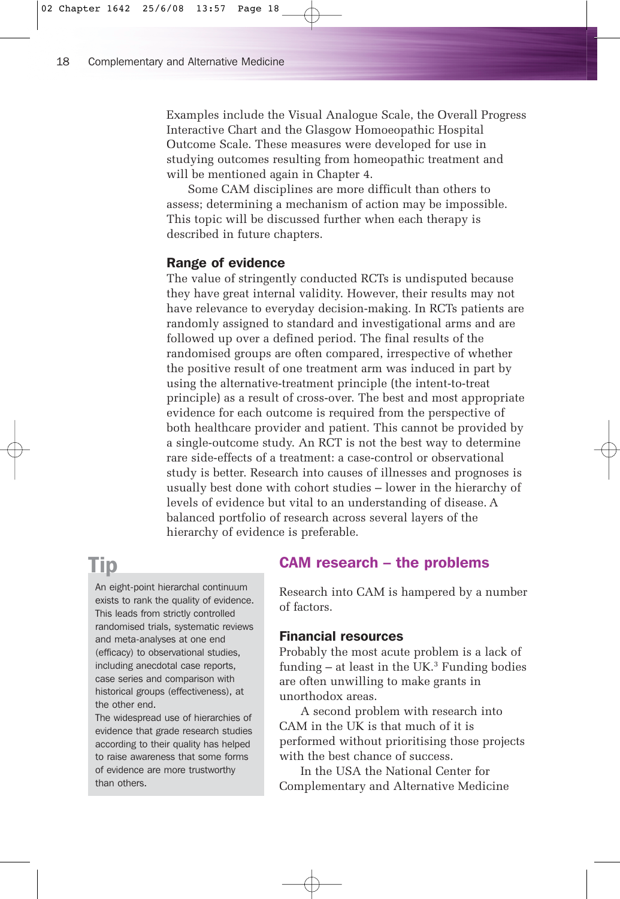Examples include the Visual Analogue Scale, the Overall Progress Interactive Chart and the Glasgow Homoeopathic Hospital Outcome Scale. These measures were developed for use in studying outcomes resulting from homeopathic treatment and will be mentioned again in Chapter 4.

Some CAM disciplines are more difficult than others to assess; determining a mechanism of action may be impossible. This topic will be discussed further when each therapy is described in future chapters.

#### Range of evidence

The value of stringently conducted RCTs is undisputed because they have great internal validity. However, their results may not have relevance to everyday decision-making. In RCTs patients are randomly assigned to standard and investigational arms and are followed up over a defined period. The final results of the randomised groups are often compared, irrespective of whether the positive result of one treatment arm was induced in part by using the alternative-treatment principle (the intent-to-treat principle) as a result of cross-over. The best and most appropriate evidence for each outcome is required from the perspective of both healthcare provider and patient. This cannot be provided by a single-outcome study. An RCT is not the best way to determine rare side-effects of a treatment: a case-control or observational study is better. Research into causes of illnesses and prognoses is usually best done with cohort studies – lower in the hierarchy of levels of evidence but vital to an understanding of disease. A balanced portfolio of research across several layers of the hierarchy of evidence is preferable.

# Tip

An eight-point hierarchal continuum exists to rank the quality of evidence. This leads from strictly controlled randomised trials, systematic reviews and meta-analyses at one end (efficacy) to observational studies, including anecdotal case reports, case series and comparison with historical groups (effectiveness), at the other end.

The widespread use of hierarchies of evidence that grade research studies according to their quality has helped to raise awareness that some forms of evidence are more trustworthy than others.

### CAM research – the problems

Research into CAM is hampered by a number of factors.

#### Financial resources

Probably the most acute problem is a lack of funding  $-$  at least in the UK. $3$  Funding bodies are often unwilling to make grants in unorthodox areas.

A second problem with research into CAM in the UK is that much of it is performed without prioritising those projects with the best chance of success.

In the USA the National Center for Complementary and Alternative Medicine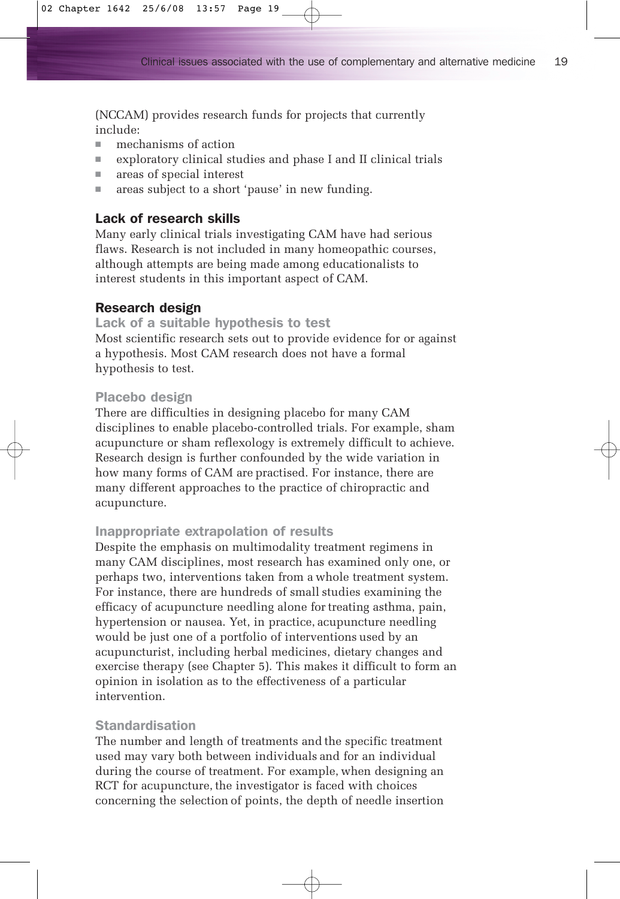(NCCAM) provides research funds for projects that currently include:

- mechanisms of action
- exploratory clinical studies and phase I and II clinical trials
- areas of special interest
- areas subject to a short 'pause' in new funding.

# Lack of research skills

Many early clinical trials investigating CAM have had serious flaws. Research is not included in many homeopathic courses, although attempts are being made among educationalists to interest students in this important aspect of CAM.

#### Research design

Lack of a suitable hypothesis to test

Most scientific research sets out to provide evidence for or against a hypothesis. Most CAM research does not have a formal hypothesis to test.

#### Placebo design

There are difficulties in designing placebo for many CAM disciplines to enable placebo-controlled trials. For example, sham acupuncture or sham reflexology is extremely difficult to achieve. Research design is further confounded by the wide variation in how many forms of CAM are practised. For instance, there are many different approaches to the practice of chiropractic and acupuncture.

#### Inappropriate extrapolation of results

Despite the emphasis on multimodality treatment regimens in many CAM disciplines, most research has examined only one, or perhaps two, interventions taken from a whole treatment system. For instance, there are hundreds of small studies examining the efficacy of acupuncture needling alone for treating asthma, pain, hypertension or nausea. Yet, in practice, acupuncture needling would be just one of a portfolio of interventions used by an acupuncturist, including herbal medicines, dietary changes and exercise therapy (see Chapter 5). This makes it difficult to form an opinion in isolation as to the effectiveness of a particular intervention.

# Standardisation

The number and length of treatments and the specific treatment used may vary both between individuals and for an individual during the course of treatment. For example, when designing an RCT for acupuncture, the investigator is faced with choices concerning the selection of points, the depth of needle insertion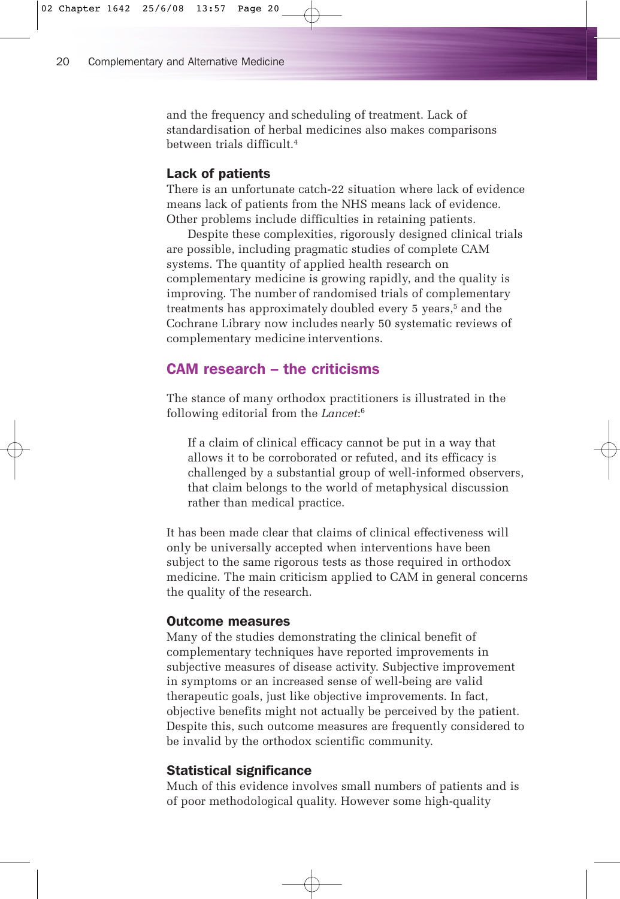and the frequency and scheduling of treatment. Lack of standardisation of herbal medicines also makes comparisons between trials difficult.4

# Lack of patients

There is an unfortunate catch-22 situation where lack of evidence means lack of patients from the NHS means lack of evidence. Other problems include difficulties in retaining patients.

Despite these complexities, rigorously designed clinical trials are possible, including pragmatic studies of complete CAM systems. The quantity of applied health research on complementary medicine is growing rapidly, and the quality is improving. The number of randomised trials of complementary treatments has approximately doubled every 5 years,<sup>5</sup> and the Cochrane Library now includes nearly 50 systematic reviews of complementary medicine interventions.

# CAM research – the criticisms

The stance of many orthodox practitioners is illustrated in the following editorial from the *Lancet*: 6

If a claim of clinical efficacy cannot be put in a way that allows it to be corroborated or refuted, and its efficacy is challenged by a substantial group of well-informed observers, that claim belongs to the world of metaphysical discussion rather than medical practice.

It has been made clear that claims of clinical effectiveness will only be universally accepted when interventions have been subject to the same rigorous tests as those required in orthodox medicine. The main criticism applied to CAM in general concerns the quality of the research.

#### Outcome measures

Many of the studies demonstrating the clinical benefit of complementary techniques have reported improvements in subjective measures of disease activity. Subjective improvement in symptoms or an increased sense of well-being are valid therapeutic goals, just like objective improvements. In fact, objective benefits might not actually be perceived by the patient. Despite this, such outcome measures are frequently considered to be invalid by the orthodox scientific community.

#### Statistical significance

Much of this evidence involves small numbers of patients and is of poor methodological quality. However some high-quality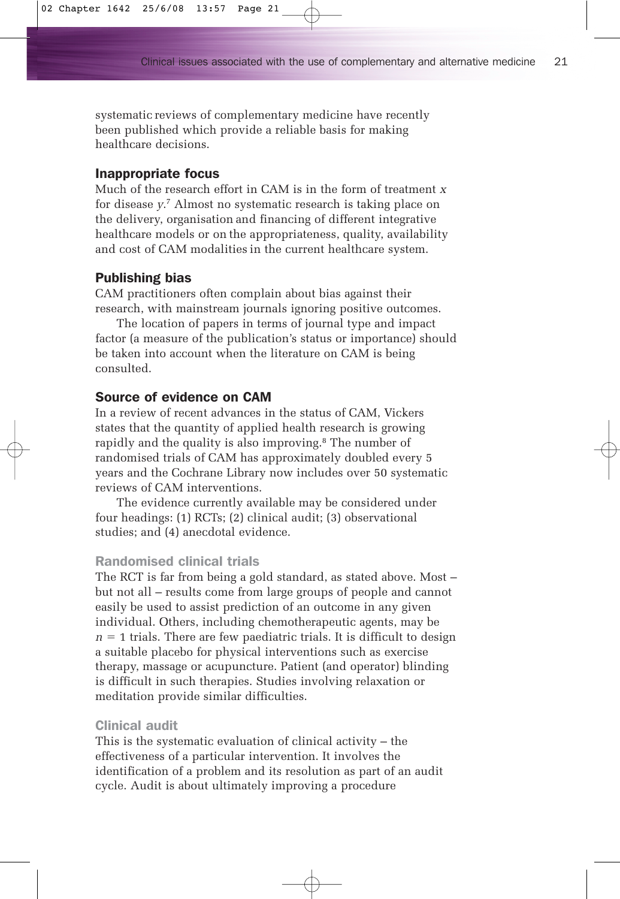systematic reviews of complementary medicine have recently been published which provide a reliable basis for making healthcare decisions.

#### Inappropriate focus

Much of the research effort in CAM is in the form of treatment *x* for disease *y*. <sup>7</sup> Almost no systematic research is taking place on the delivery, organisation and financing of different integrative healthcare models or on the appropriateness, quality, availability and cost of CAM modalities in the current healthcare system.

#### Publishing bias

CAM practitioners often complain about bias against their research, with mainstream journals ignoring positive outcomes.

The location of papers in terms of journal type and impact factor (a measure of the publication's status or importance) should be taken into account when the literature on CAM is being consulted.

# Source of evidence on CAM

In a review of recent advances in the status of CAM, Vickers states that the quantity of applied health research is growing rapidly and the quality is also improving.<sup>8</sup> The number of randomised trials of CAM has approximately doubled every 5 years and the Cochrane Library now includes over 50 systematic reviews of CAM interventions.

The evidence currently available may be considered under four headings: (1) RCTs; (2) clinical audit; (3) observational studies; and (4) anecdotal evidence.

## Randomised clinical trials

The RCT is far from being a gold standard, as stated above. Most – but not all – results come from large groups of people and cannot easily be used to assist prediction of an outcome in any given individual. Others, including chemotherapeutic agents, may be  $n = 1$  trials. There are few paediatric trials. It is difficult to design a suitable placebo for physical interventions such as exercise therapy, massage or acupuncture. Patient (and operator) blinding is difficult in such therapies. Studies involving relaxation or meditation provide similar difficulties.

# Clinical audit

This is the systematic evaluation of clinical activity – the effectiveness of a particular intervention. It involves the identification of a problem and its resolution as part of an audit cycle. Audit is about ultimately improving a procedure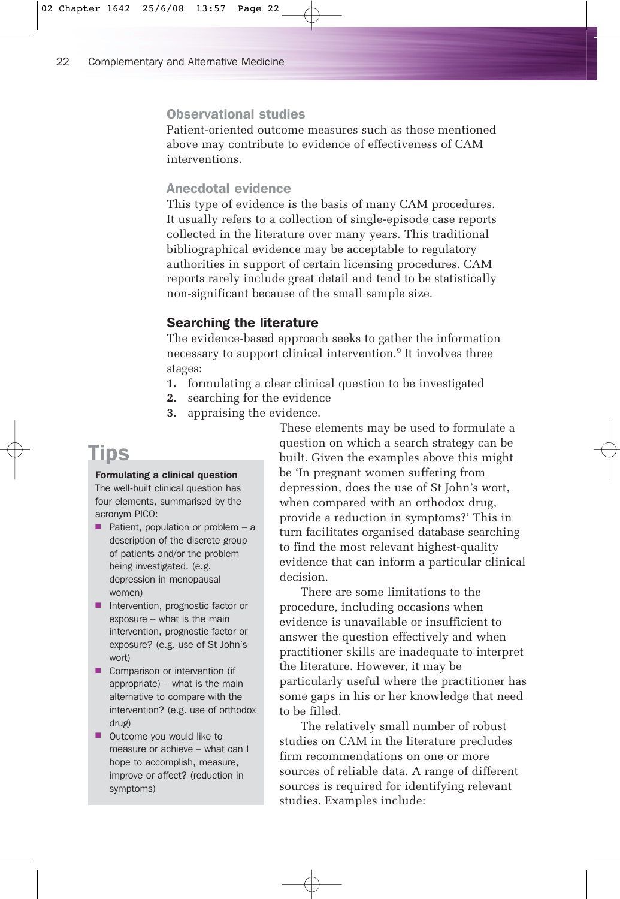# Observational studies

Patient-oriented outcome measures such as those mentioned above may contribute to evidence of effectiveness of CAM interventions.

# Anecdotal evidence

This type of evidence is the basis of many CAM procedures. It usually refers to a collection of single-episode case reports collected in the literature over many years. This traditional bibliographical evidence may be acceptable to regulatory authorities in support of certain licensing procedures. CAM reports rarely include great detail and tend to be statistically non-significant because of the small sample size.

# Searching the literature

The evidence-based approach seeks to gather the information necessary to support clinical intervention.<sup>9</sup> It involves three stages:

- **1.** formulating a clear clinical question to be investigated
- **2.** searching for the evidence
- **3.** appraising the evidence.

# **Tips**

## Formulating a clinical question

The well-built clinical question has four elements, summarised by the acronym PICO:

- Patient, population or problem a description of the discrete group of patients and/or the problem being investigated. (e.g. depression in menopausal women)
- Intervention, prognostic factor or exposure – what is the main intervention, prognostic factor or exposure? (e.g. use of St John's wort)
- Comparison or intervention (if appropriate) – what is the main alternative to compare with the intervention? (e.g. use of orthodox drug)
- Outcome you would like to measure or achieve – what can I hope to accomplish, measure, improve or affect? (reduction in symptoms)

These elements may be used to formulate a question on which a search strategy can be built. Given the examples above this might be 'In pregnant women suffering from depression, does the use of St John's wort, when compared with an orthodox drug, provide a reduction in symptoms?' This in turn facilitates organised database searching to find the most relevant highest-quality evidence that can inform a particular clinical decision.

There are some limitations to the procedure, including occasions when evidence is unavailable or insufficient to answer the question effectively and when practitioner skills are inadequate to interpret the literature. However, it may be particularly useful where the practitioner has some gaps in his or her knowledge that need to be filled.

The relatively small number of robust studies on CAM in the literature precludes firm recommendations on one or more sources of reliable data. A range of different sources is required for identifying relevant studies. Examples include: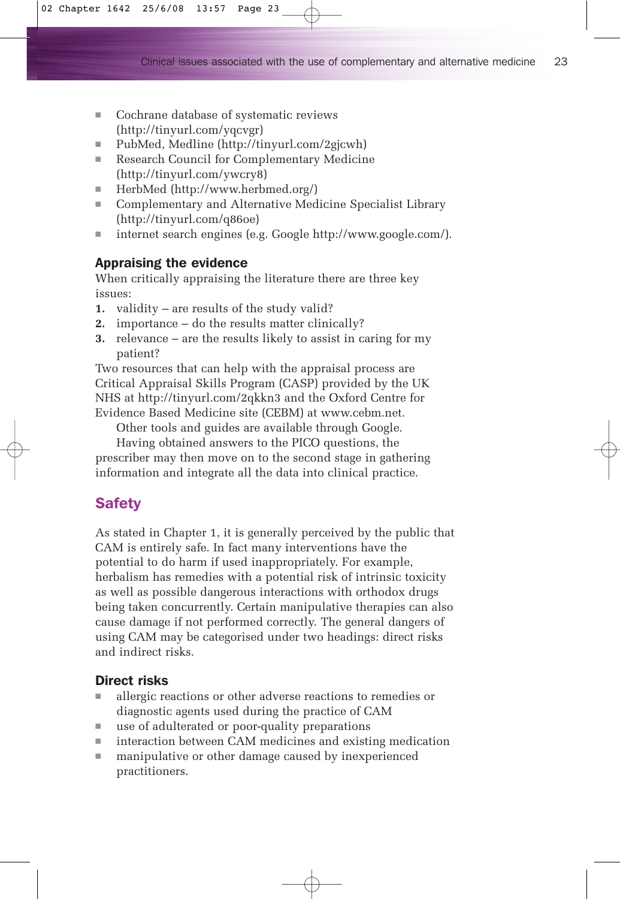

- Cochrane database of systematic reviews (http://tinyurl.com/yqcvgr)
- PubMed, Medline (http://tinyurl.com/2gjcwh)
- Research Council for Complementary Medicine (http://tinyurl.com/ywcry8)
- HerbMed (http://www.herbmed.org/)
- Complementary and Alternative Medicine Specialist Library (http://tinyurl.com/q86oe)
- internet search engines (e.g. Google http://www.google.com/).

## Appraising the evidence

When critically appraising the literature there are three key issues:

- **1.** validity are results of the study valid?
- **2.** importance do the results matter clinically?
- **3.** relevance are the results likely to assist in caring for my patient?

Two resources that can help with the appraisal process are Critical Appraisal Skills Program (CASP) provided by the UK NHS at http://tinyurl.com/2qkkn3 and the Oxford Centre for Evidence Based Medicine site (CEBM) at www.cebm.net.

Other tools and guides are available through Google.

Having obtained answers to the PICO questions, the

prescriber may then move on to the second stage in gathering information and integrate all the data into clinical practice.

# **Safety**

As stated in Chapter 1, it is generally perceived by the public that CAM is entirely safe. In fact many interventions have the potential to do harm if used inappropriately. For example, herbalism has remedies with a potential risk of intrinsic toxicity as well as possible dangerous interactions with orthodox drugs being taken concurrently. Certain manipulative therapies can also cause damage if not performed correctly. The general dangers of using CAM may be categorised under two headings: direct risks and indirect risks.

# Direct risks

- allergic reactions or other adverse reactions to remedies or diagnostic agents used during the practice of CAM
- use of adulterated or poor-quality preparations
- interaction between CAM medicines and existing medication
- manipulative or other damage caused by inexperienced practitioners.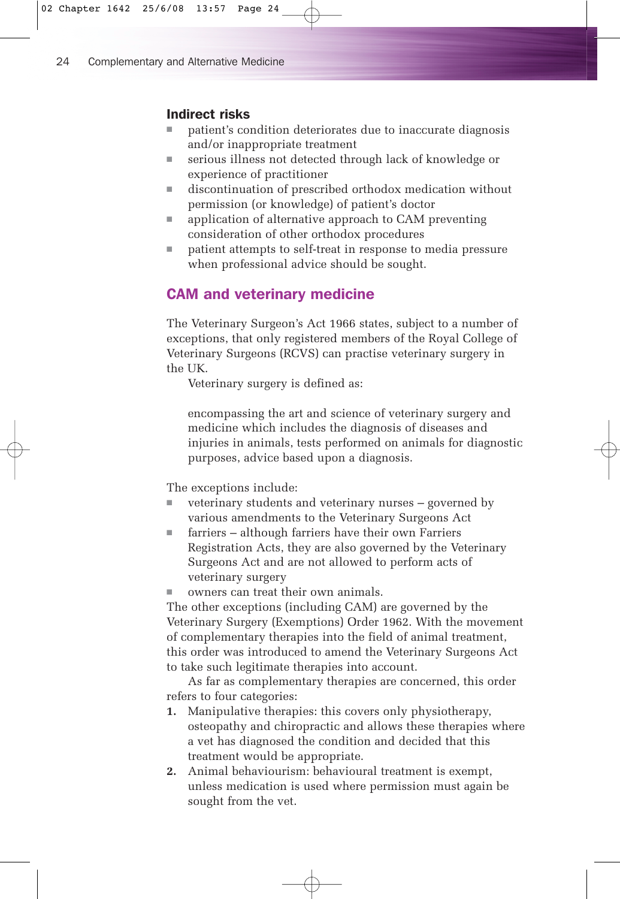# Indirect risks

- patient's condition deteriorates due to inaccurate diagnosis and/or inappropriate treatment
- serious illness not detected through lack of knowledge or experience of practitioner
- discontinuation of prescribed orthodox medication without permission (or knowledge) of patient's doctor
- application of alternative approach to CAM preventing consideration of other orthodox procedures
- patient attempts to self-treat in response to media pressure when professional advice should be sought.

# CAM and veterinary medicine

The Veterinary Surgeon's Act 1966 states, subject to a number of exceptions, that only registered members of the Royal College of Veterinary Surgeons (RCVS) can practise veterinary surgery in the UK.

Veterinary surgery is defined as:

encompassing the art and science of veterinary surgery and medicine which includes the diagnosis of diseases and injuries in animals, tests performed on animals for diagnostic purposes, advice based upon a diagnosis.

The exceptions include:

- veterinary students and veterinary nurses governed by various amendments to the Veterinary Surgeons Act
- farriers although farriers have their own Farriers Registration Acts, they are also governed by the Veterinary Surgeons Act and are not allowed to perform acts of veterinary surgery
- owners can treat their own animals.

The other exceptions (including CAM) are governed by the Veterinary Surgery (Exemptions) Order 1962. With the movement of complementary therapies into the field of animal treatment, this order was introduced to amend the Veterinary Surgeons Act to take such legitimate therapies into account.

As far as complementary therapies are concerned, this order refers to four categories:

- **1.** Manipulative therapies: this covers only physiotherapy, osteopathy and chiropractic and allows these therapies where a vet has diagnosed the condition and decided that this treatment would be appropriate.
- **2.** Animal behaviourism: behavioural treatment is exempt, unless medication is used where permission must again be sought from the vet.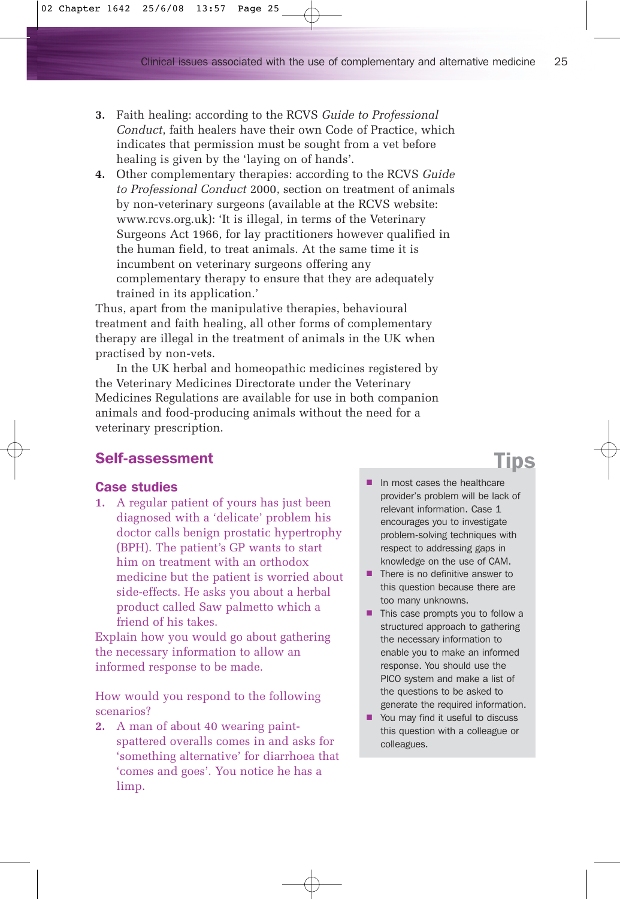

- **3.** Faith healing: according to the RCVS *Guide to Professional Conduct*, faith healers have their own Code of Practice, which indicates that permission must be sought from a vet before healing is given by the 'laying on of hands'.
- **4.** Other complementary therapies: according to the RCVS *Guide to Professional Conduct* 2000, section on treatment of animals by non-veterinary surgeons (available at the RCVS website: www.rcvs.org.uk): 'It is illegal, in terms of the Veterinary Surgeons Act 1966, for lay practitioners however qualified in the human field, to treat animals. At the same time it is incumbent on veterinary surgeons offering any complementary therapy to ensure that they are adequately trained in its application.'

Thus, apart from the manipulative therapies, behavioural treatment and faith healing, all other forms of complementary therapy are illegal in the treatment of animals in the UK when practised by non-vets.

In the UK herbal and homeopathic medicines registered by the Veterinary Medicines Directorate under the Veterinary Medicines Regulations are available for use in both companion animals and food-producing animals without the need for a veterinary prescription.

# Self-assessment

# Case studies

**1.** A regular patient of yours has just been diagnosed with a 'delicate' problem his doctor calls benign prostatic hypertrophy (BPH). The patient's GP wants to start him on treatment with an orthodox medicine but the patient is worried about side-effects. He asks you about a herbal product called Saw palmetto which a friend of his takes.

Explain how you would go about gathering the necessary information to allow an informed response to be made.

How would you respond to the following scenarios?

**2.** A man of about 40 wearing paintspattered overalls comes in and asks for 'something alternative' for diarrhoea that 'comes and goes'. You notice he has a limp.

- In most cases the healthcare provider's problem will be lack of relevant information. Case 1 encourages you to investigate problem-solving techniques with respect to addressing gaps in knowledge on the use of CAM.
- There is no definitive answer to this question because there are too many unknowns.
- This case prompts you to follow a structured approach to gathering the necessary information to enable you to make an informed response. You should use the PICO system and make a list of the questions to be asked to generate the required information.
- You may find it useful to discuss this question with a colleague or colleagues.

# **Tips**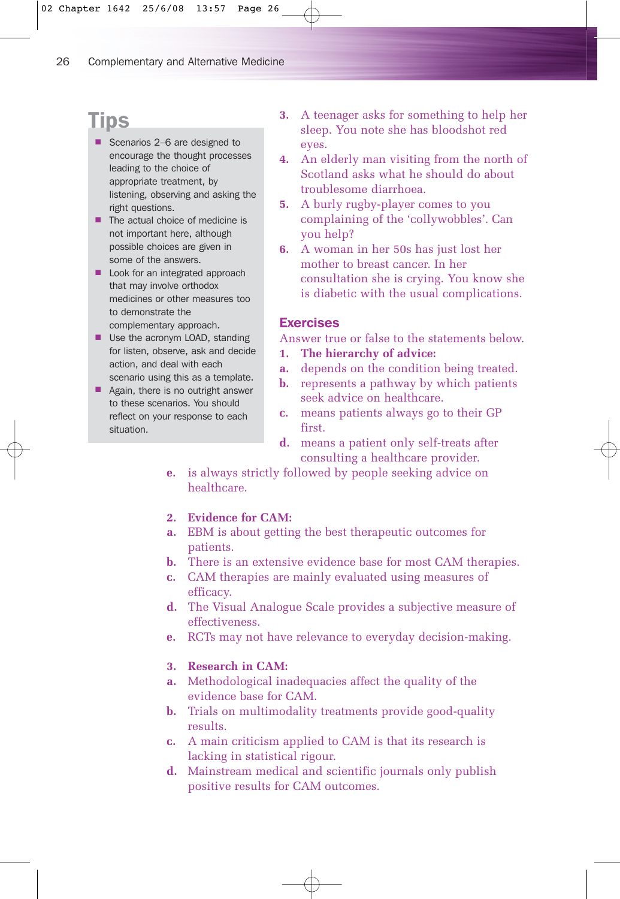# Tips

- Scenarios 2–6 are designed to encourage the thought processes leading to the choice of appropriate treatment, by listening, observing and asking the right questions.
- The actual choice of medicine is not important here, although possible choices are given in some of the answers.
- Look for an integrated approach that may involve orthodox medicines or other measures too to demonstrate the complementary approach.
- Use the acronym LOAD, standing for listen, observe, ask and decide action, and deal with each scenario using this as a template.
- Again, there is no outright answer to these scenarios. You should reflect on your response to each situation.
- **3.** A teenager asks for something to help her sleep. You note she has bloodshot red eyes.
- **4.** An elderly man visiting from the north of Scotland asks what he should do about troublesome diarrhoea.
- **5.** A burly rugby-player comes to you complaining of the 'collywobbles'. Can you help?
- **6.** A woman in her 50s has just lost her mother to breast cancer. In her consultation she is crying. You know she is diabetic with the usual complications.

# **Exercises**

Answer true or false to the statements below.

- **1. The hierarchy of advice:**
- **a.** depends on the condition being treated.
- **b.** represents a pathway by which patients seek advice on healthcare.
- **c.** means patients always go to their GP first.
- **d.** means a patient only self-treats after consulting a healthcare provider.
- **e.** is always strictly followed by people seeking advice on healthcare.

### **2. Evidence for CAM:**

- **a.** EBM is about getting the best therapeutic outcomes for patients.
- **b.** There is an extensive evidence base for most CAM therapies.
- **c.** CAM therapies are mainly evaluated using measures of efficacy.
- **d.** The Visual Analogue Scale provides a subjective measure of effectiveness.
- **e.** RCTs may not have relevance to everyday decision-making.

#### **3. Research in CAM:**

- **a.** Methodological inadequacies affect the quality of the evidence base for CAM.
- **b.** Trials on multimodality treatments provide good-quality results.
- **c.** A main criticism applied to CAM is that its research is lacking in statistical rigour.
- **d.** Mainstream medical and scientific journals only publish positive results for CAM outcomes.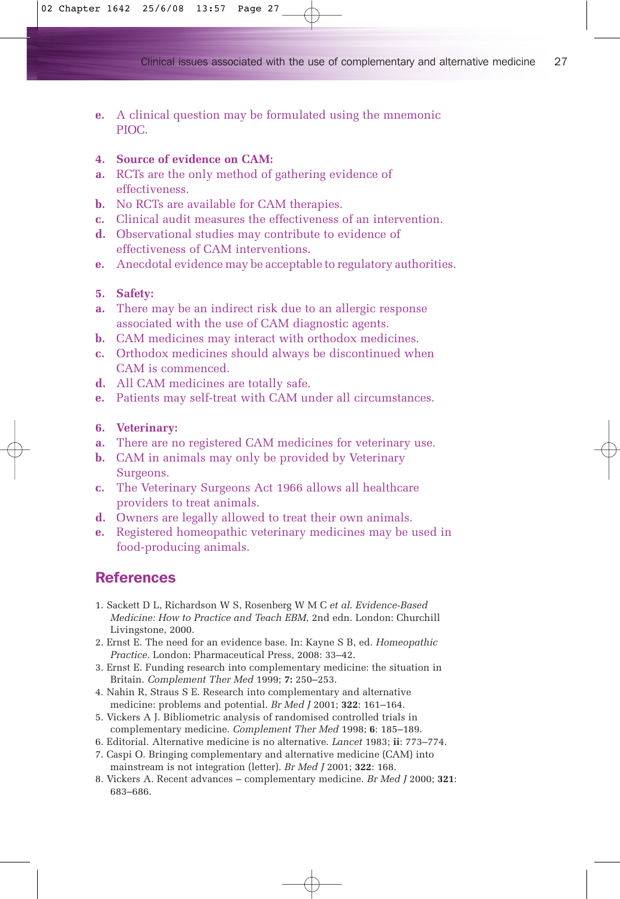**e.** A clinical question may be formulated using the mnemonic PIOC.

#### **4. Source of evidence on CAM:**

- **a.** RCTs are the only method of gathering evidence of effectiveness.
- **b.** No RCTs are available for CAM therapies.
- **c.** Clinical audit measures the effectiveness of an intervention.
- **d.** Observational studies may contribute to evidence of effectiveness of CAM interventions.
- **e.** Anecdotal evidence may be acceptable to regulatory authorities.

#### **5. Safety:**

- **a.** There may be an indirect risk due to an allergic response associated with the use of CAM diagnostic agents.
- **b.** CAM medicines may interact with orthodox medicines.
- **c.** Orthodox medicines should always be discontinued when CAM is commenced.
- **d.** All CAM medicines are totally safe.
- **e.** Patients may self-treat with CAM under all circumstances.
- **6. Veterinary:**
- **a.** There are no registered CAM medicines for veterinary use.
- **b.** CAM in animals may only be provided by Veterinary Surgeons.
- **c.** The Veterinary Surgeons Act 1966 allows all healthcare providers to treat animals.
- **d.** Owners are legally allowed to treat their own animals.
- **e.** Registered homeopathic veterinary medicines may be used in food-producing animals.

# **References**

- 1. Sackett D L, Richardson W S, Rosenberg W M C *et al*. *Evidence-Based Medicine: How to Practice and Teach EBM*, 2nd edn. London: Churchill Livingstone, 2000.
- 2. Ernst E. The need for an evidence base. In: Kayne S B, ed. *Homeopathic Practice.* London: Pharmaceutical Press, 2008: 33–42.
- 3. Ernst E. Funding research into complementary medicine: the situation in Britain. *Complement Ther Med* 1999; **7:** 250–253.
- 4. Nahin R, Straus S E. Research into complementary and alternative medicine: problems and potential. *Br Med J* 2001; **322**: 161–164.
- 5. Vickers A J. Bibliometric analysis of randomised controlled trials in complementary medicine. *Complement Ther Med* 1998; **6**: 185–189.
- 6. Editorial. Alternative medicine is no alternative. *Lancet* 1983; **ii**: 773–774.
- 7. Caspi O. Bringing complementary and alternative medicine (CAM) into mainstream is not integration (letter). *Br Med J* 2001; **322**: 168.
- 8. Vickers A. Recent advances complementary medicine. *Br Med J* 2000; **321**: 683–686.